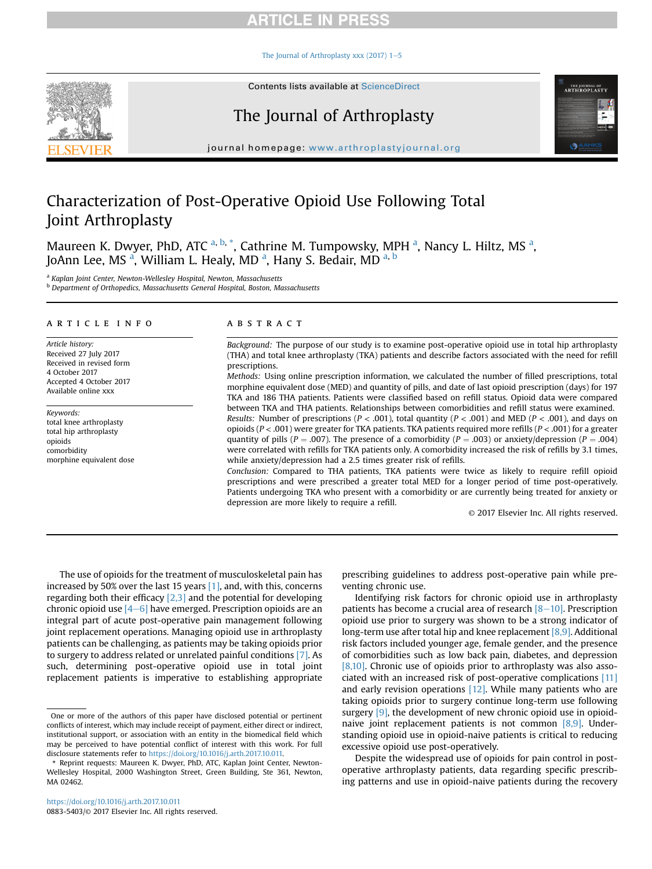### **RTICLE IN PRESS**

The Journal of Arthroplasty xxx (2017)  $1-5$  $1-5$ 



Contents lists available at [ScienceDirect](www.sciencedirect.com/science/journal/08835403)

## The Journal of Arthroplasty

journal homepage: [www.arthroplastyjournal.org](http://www.arthroplastyjournal.org)

## Characterization of Post-Operative Opioid Use Following Total Joint Arthroplasty

Maureen K. Dwyer, PhD, ATC <sup>a, b, \*</sup>, Cathrine M. Tumpowsky, MPH <sup>a</sup>, Nancy L. Hiltz, MS <sup>a</sup>, JoAnn Lee, MS <sup>a</sup>, William L. Healy, MD <sup>a</sup>, Hany S. Bedair, MD <sup>a, b</sup>

<sup>a</sup> Kaplan Joint Center, Newton-Wellesley Hospital, Newton, Massachusetts

**b** Department of Orthopedics, Massachusetts General Hospital, Boston, Massachusetts

#### article info

Article history: Received 27 July 2017 Received in revised form 4 October 2017 Accepted 4 October 2017 Available online xxx

Keywords: total knee arthroplasty total hip arthroplasty opioids comorbidity morphine equivalent dose

#### ABSTRACT

Background: The purpose of our study is to examine post-operative opioid use in total hip arthroplasty (THA) and total knee arthroplasty (TKA) patients and describe factors associated with the need for refill prescriptions.

Methods: Using online prescription information, we calculated the number of filled prescriptions, total morphine equivalent dose (MED) and quantity of pills, and date of last opioid prescription (days) for 197 TKA and 186 THA patients. Patients were classified based on refill status. Opioid data were compared between TKA and THA patients. Relationships between comorbidities and refill status were examined. Results: Number of prescriptions ( $P < .001$ ), total quantity ( $P < .001$ ) and MED ( $P < .001$ ), and days on opioids ( $P < .001$ ) were greater for TKA patients. TKA patients required more refills ( $P < .001$ ) for a greater quantity of pills ( $P = .007$ ). The presence of a comorbidity ( $P = .003$ ) or anxiety/depression ( $P = .004$ ) were correlated with refills for TKA patients only. A comorbidity increased the risk of refills by 3.1 times, while anxiety/depression had a 2.5 times greater risk of refills.

Conclusion: Compared to THA patients, TKA patients were twice as likely to require refill opioid prescriptions and were prescribed a greater total MED for a longer period of time post-operatively. Patients undergoing TKA who present with a comorbidity or are currently being treated for anxiety or depression are more likely to require a refill.

© 2017 Elsevier Inc. All rights reserved.

**THE JOURNAL OF**<br>**ARTHROPLAST** 

G

The use of opioids for the treatment of musculoskeletal pain has increased by 50% over the last 15 years [\[1\]](#page--1-0), and, with this, concerns regarding both their efficacy  $[2,3]$  and the potential for developing chronic opioid use  $[4-6]$  $[4-6]$  $[4-6]$  have emerged. Prescription opioids are an integral part of acute post-operative pain management following joint replacement operations. Managing opioid use in arthroplasty patients can be challenging, as patients may be taking opioids prior to surgery to address related or unrelated painful conditions [\[7\].](#page--1-0) As such, determining post-operative opioid use in total joint replacement patients is imperative to establishing appropriate

prescribing guidelines to address post-operative pain while preventing chronic use.

Identifying risk factors for chronic opioid use in arthroplasty patients has become a crucial area of research  $[8-10]$  $[8-10]$ . Prescription opioid use prior to surgery was shown to be a strong indicator of long-term use after total hip and knee replacement [\[8,9\].](#page--1-0) Additional risk factors included younger age, female gender, and the presence of comorbidities such as low back pain, diabetes, and depression [\[8,10\]](#page--1-0). Chronic use of opioids prior to arthroplasty was also associated with an increased risk of post-operative complications [\[11\]](#page--1-0) and early revision operations  $[12]$ . While many patients who are taking opioids prior to surgery continue long-term use following surgery [\[9\]](#page--1-0), the development of new chronic opioid use in opioidnaive joint replacement patients is not common [\[8,9\].](#page--1-0) Understanding opioid use in opioid-naive patients is critical to reducing excessive opioid use post-operatively.

Despite the widespread use of opioids for pain control in postoperative arthroplasty patients, data regarding specific prescribing patterns and use in opioid-naive patients during the recovery

One or more of the authors of this paper have disclosed potential or pertinent conflicts of interest, which may include receipt of payment, either direct or indirect, institutional support, or association with an entity in the biomedical field which may be perceived to have potential conflict of interest with this work. For full disclosure statements refer to [https://doi.org/10.1016/j.arth.2017.10.011.](https://doi.org/10.1016/j.arth.2017.10.011)

<sup>\*</sup> Reprint requests: Maureen K. Dwyer, PhD, ATC, Kaplan Joint Center, Newton-Wellesley Hospital, 2000 Washington Street, Green Building, Ste 361, Newton, MA 02462.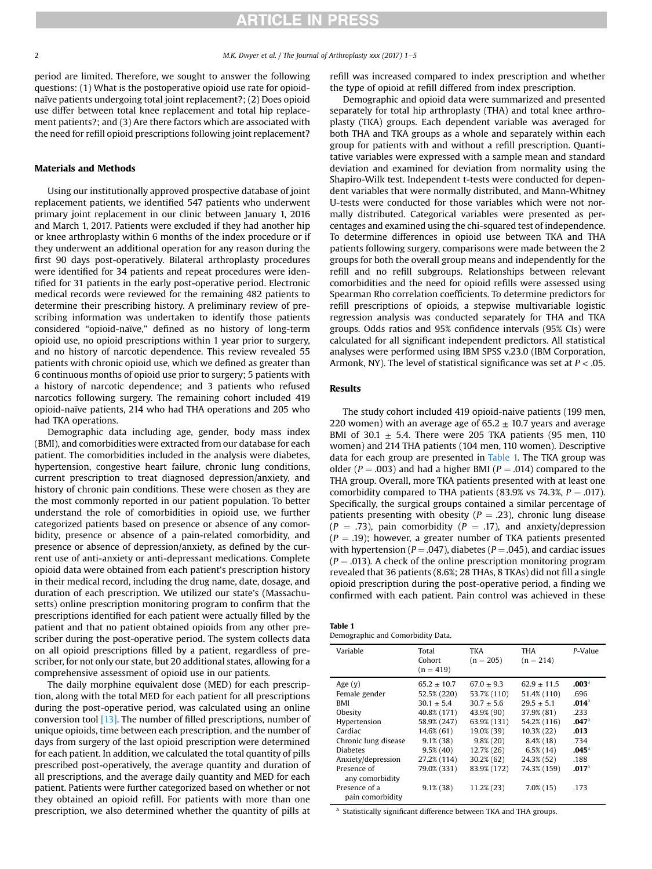period are limited. Therefore, we sought to answer the following questions: (1) What is the postoperative opioid use rate for opioidnaïve patients undergoing total joint replacement?; (2) Does opioid use differ between total knee replacement and total hip replacement patients?; and (3) Are there factors which are associated with the need for refill opioid prescriptions following joint replacement?

#### Materials and Methods

Using our institutionally approved prospective database of joint replacement patients, we identified 547 patients who underwent primary joint replacement in our clinic between January 1, 2016 and March 1, 2017. Patients were excluded if they had another hip or knee arthroplasty within 6 months of the index procedure or if they underwent an additional operation for any reason during the first 90 days post-operatively. Bilateral arthroplasty procedures were identified for 34 patients and repeat procedures were identified for 31 patients in the early post-operative period. Electronic medical records were reviewed for the remaining 482 patients to determine their prescribing history. A preliminary review of prescribing information was undertaken to identify those patients considered "opioid-naïve," defined as no history of long-term opioid use, no opioid prescriptions within 1 year prior to surgery, and no history of narcotic dependence. This review revealed 55 patients with chronic opioid use, which we defined as greater than 6 continuous months of opioid use prior to surgery; 5 patients with a history of narcotic dependence; and 3 patients who refused narcotics following surgery. The remaining cohort included 419 opioid-naïve patients, 214 who had THA operations and 205 who had TKA operations.

Demographic data including age, gender, body mass index (BMI), and comorbidities were extracted from our database for each patient. The comorbidities included in the analysis were diabetes, hypertension, congestive heart failure, chronic lung conditions, current prescription to treat diagnosed depression/anxiety, and history of chronic pain conditions. These were chosen as they are the most commonly reported in our patient population. To better understand the role of comorbidities in opioid use, we further categorized patients based on presence or absence of any comorbidity, presence or absence of a pain-related comorbidity, and presence or absence of depression/anxiety, as defined by the current use of anti-anxiety or anti-depressant medications. Complete opioid data were obtained from each patient's prescription history in their medical record, including the drug name, date, dosage, and duration of each prescription. We utilized our state's (Massachusetts) online prescription monitoring program to confirm that the prescriptions identified for each patient were actually filled by the patient and that no patient obtained opioids from any other prescriber during the post-operative period. The system collects data on all opioid prescriptions filled by a patient, regardless of prescriber, for not only our state, but 20 additional states, allowing for a comprehensive assessment of opioid use in our patients.

The daily morphine equivalent dose (MED) for each prescription, along with the total MED for each patient for all prescriptions during the post-operative period, was calculated using an online conversion tool [\[13\].](#page--1-0) The number of filled prescriptions, number of unique opioids, time between each prescription, and the number of days from surgery of the last opioid prescription were determined for each patient. In addition, we calculated the total quantity of pills prescribed post-operatively, the average quantity and duration of all prescriptions, and the average daily quantity and MED for each patient. Patients were further categorized based on whether or not they obtained an opioid refill. For patients with more than one prescription, we also determined whether the quantity of pills at refill was increased compared to index prescription and whether the type of opioid at refill differed from index prescription.

Demographic and opioid data were summarized and presented separately for total hip arthroplasty (THA) and total knee arthroplasty (TKA) groups. Each dependent variable was averaged for both THA and TKA groups as a whole and separately within each group for patients with and without a refill prescription. Quantitative variables were expressed with a sample mean and standard deviation and examined for deviation from normality using the Shapiro-Wilk test. Independent t-tests were conducted for dependent variables that were normally distributed, and Mann-Whitney U-tests were conducted for those variables which were not normally distributed. Categorical variables were presented as percentages and examined using the chi-squared test of independence. To determine differences in opioid use between TKA and THA patients following surgery, comparisons were made between the 2 groups for both the overall group means and independently for the refill and no refill subgroups. Relationships between relevant comorbidities and the need for opioid refills were assessed using Spearman Rho correlation coefficients. To determine predictors for refill prescriptions of opioids, a stepwise multivariable logistic regression analysis was conducted separately for THA and TKA groups. Odds ratios and 95% confidence intervals (95% CIs) were calculated for all significant independent predictors. All statistical analyses were performed using IBM SPSS v.23.0 (IBM Corporation, Armonk, NY). The level of statistical significance was set at  $P < .05$ .

#### Results

The study cohort included 419 opioid-naive patients (199 men, 220 women) with an average age of  $65.2 \pm 10.7$  years and average BMI of 30.1  $\pm$  5.4. There were 205 TKA patients (95 men, 110 women) and 214 THA patients (104 men, 110 women). Descriptive data for each group are presented in Table 1. The TKA group was older ( $P = .003$ ) and had a higher BMI ( $P = .014$ ) compared to the THA group. Overall, more TKA patients presented with at least one comorbidity compared to THA patients (83.9% vs 74.3%,  $P = .017$ ). Specifically, the surgical groups contained a similar percentage of patients presenting with obesity ( $P = .23$ ), chronic lung disease  $(P = .73)$ , pain comorbidity  $(P = .17)$ , and anxiety/depression  $(P = .19)$ ; however, a greater number of TKA patients presented with hypertension ( $P = .047$ ), diabetes ( $P = .045$ ), and cardiac issues  $(P = .013)$ . A check of the online prescription monitoring program revealed that 36 patients (8.6%; 28 THAs, 8 TKAs) did not fill a single opioid prescription during the post-operative period, a finding we confirmed with each patient. Pain control was achieved in these

| <b>Table 1</b>                    |  |
|-----------------------------------|--|
| Demographic and Comorbidity Data. |  |

| Variable                                                                                                                                                | Total<br>Cohort<br>$(n = 419)$                                                                                                                         | TKA<br>$(n = 205)$                                                                                                                               | THA<br>$(n = 214)$                                                                                                                                   | P-Value                                                                                                                                       |
|---------------------------------------------------------------------------------------------------------------------------------------------------------|--------------------------------------------------------------------------------------------------------------------------------------------------------|--------------------------------------------------------------------------------------------------------------------------------------------------|------------------------------------------------------------------------------------------------------------------------------------------------------|-----------------------------------------------------------------------------------------------------------------------------------------------|
| Age $(y)$<br>Female gender<br>BMI<br>Obesity<br>Hypertension<br>Cardiac<br>Chronic lung disease<br><b>Diabetes</b><br>Anxiety/depression<br>Presence of | $65.2 + 10.7$<br>52.5% (220)<br>$30.1 + 5.4$<br>40.8% (171)<br>58.9% (247)<br>14.6% (61)<br>$9.1\%$ (38)<br>$9.5\%$ (40)<br>27.2% (114)<br>79.0% (331) | $67.0 + 9.3$<br>53.7% (110)<br>$30.7 + 5.6$<br>43.9% (90)<br>63.9% (131)<br>19.0% (39)<br>$9.8\%(20)$<br>12.7% (26)<br>30.2% (62)<br>83.9% (172) | $62.9 + 11.5$<br>51.4% (110)<br>$29.5 + 5.1$<br>37.9% (81)<br>54.2% (116)<br>10.3% (22)<br>$8.4\%$ (18)<br>$6.5\%$ (14)<br>24.3% (52)<br>74.3% (159) | .003 <sup>a</sup><br>.696<br>.014 <sup>a</sup><br>.233<br>.047 <sup>a</sup><br>.013<br>.734<br>.045 <sup>a</sup><br>.188<br>.017 <sup>a</sup> |
| any comorbidity<br>Presence of a<br>pain comorbidity                                                                                                    | $9.1\%$ (38)                                                                                                                                           | $11.2\%$ (23)                                                                                                                                    | $7.0\%$ (15)                                                                                                                                         | .173                                                                                                                                          |

<sup>a</sup> Statistically significant difference between TKA and THA groups.